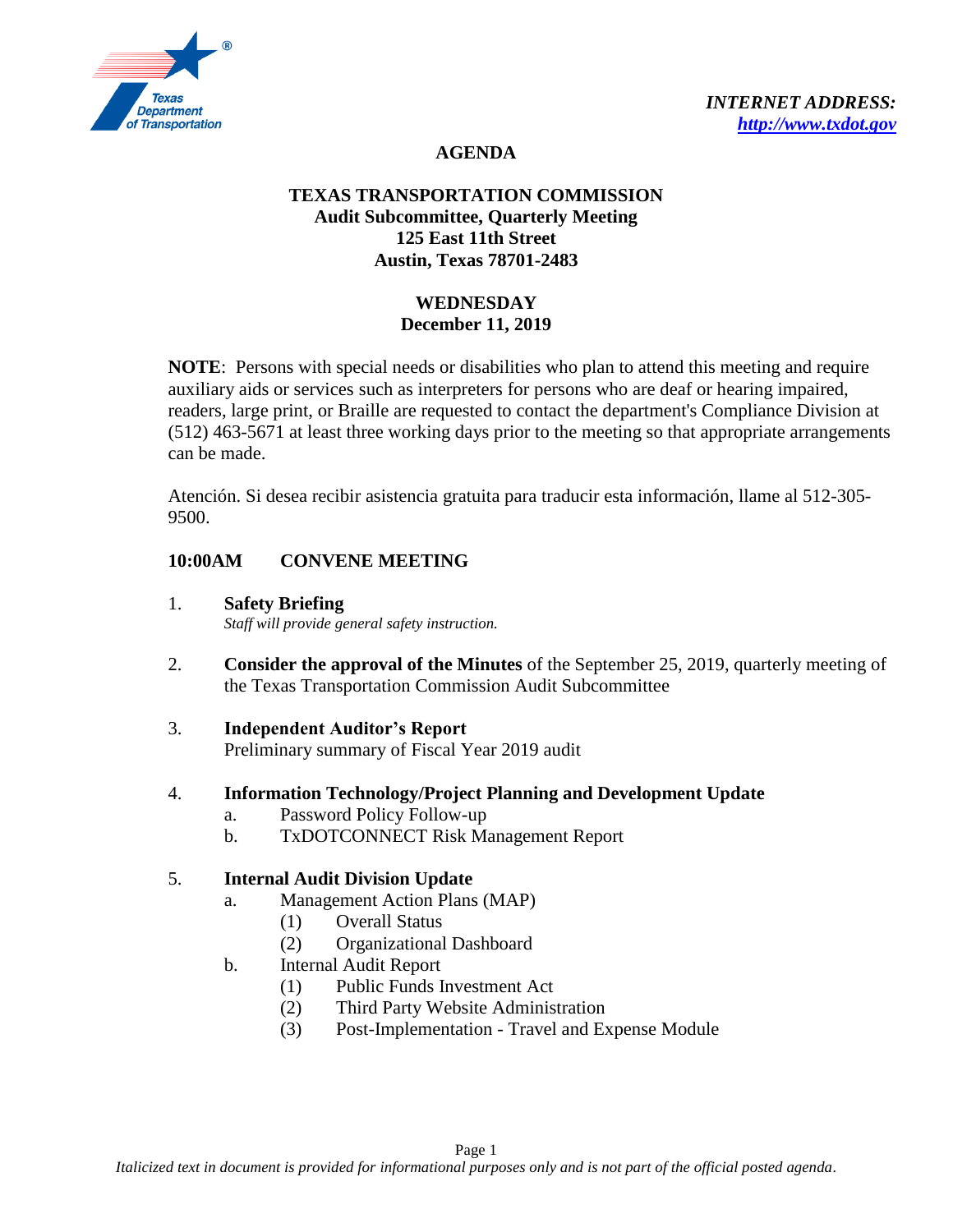

### **AGENDA**

# **TEXAS TRANSPORTATION COMMISSION Audit Subcommittee, Quarterly Meeting 125 East 11th Street Austin, Texas 78701-2483**

# **WEDNESDAY December 11, 2019**

**NOTE**: Persons with special needs or disabilities who plan to attend this meeting and require auxiliary aids or services such as interpreters for persons who are deaf or hearing impaired, readers, large print, or Braille are requested to contact the department's Compliance Division at (512) 463-5671 at least three working days prior to the meeting so that appropriate arrangements can be made.

Atención. Si desea recibir asistencia gratuita para traducir esta información, llame al 512-305- 9500.

# **10:00AM CONVENE MEETING**

- 1. **Safety Briefing** *Staff will provide general safety instruction.*
- 2. **Consider the approval of the Minutes** of the September 25, 2019, quarterly meeting of the Texas Transportation Commission Audit Subcommittee
- 3. **Independent Auditor's Report** Preliminary summary of Fiscal Year 2019 audit

#### 4. **Information Technology/Project Planning and Development Update**

- a. Password Policy Follow-up
- b. TxDOTCONNECT Risk Management Report

#### 5. **Internal Audit Division Update**

- a. Management Action Plans (MAP)
	- (1) Overall Status
	- (2) Organizational Dashboard
- b. Internal Audit Report
	- (1) Public Funds Investment Act
	- (2) Third Party Website Administration
	- (3) Post-Implementation Travel and Expense Module